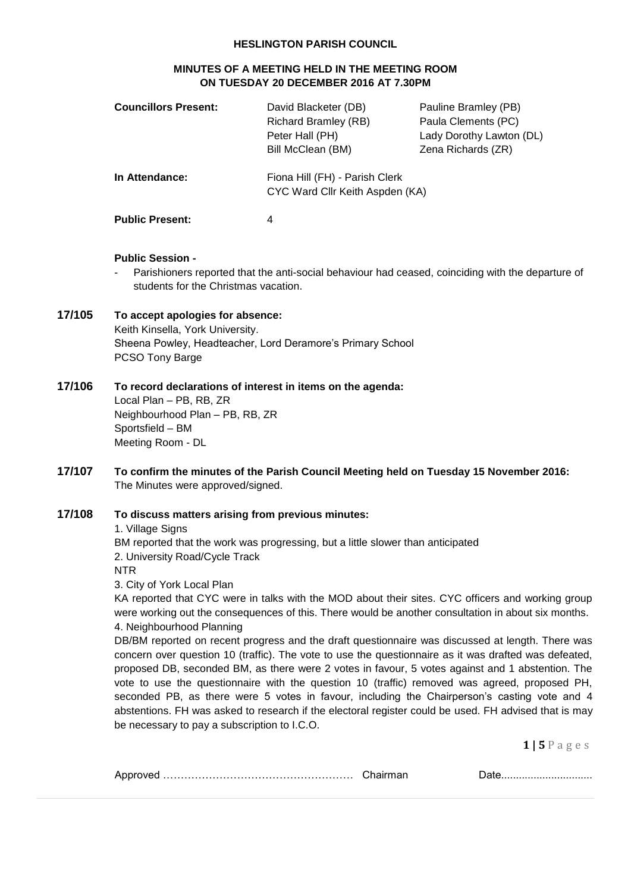#### **HESLINGTON PARISH COUNCIL**

## **MINUTES OF A MEETING HELD IN THE MEETING ROOM ON TUESDAY 20 DECEMBER 2016 AT 7.30PM**

| <b>Councillors Present:</b> | David Blacketer (DB)<br><b>Richard Bramley (RB)</b><br>Peter Hall (PH)<br>Bill McClean (BM) | Pauline Bramley (PB)<br>Paula Clements (PC)<br>Lady Dorothy Lawton (DL)<br>Zena Richards (ZR) |
|-----------------------------|---------------------------------------------------------------------------------------------|-----------------------------------------------------------------------------------------------|
| In Attendance:              | Fiona Hill (FH) - Parish Clerk<br>CYC Ward Cllr Keith Aspden (KA)                           |                                                                                               |
| <b>Public Present:</b>      | 4                                                                                           |                                                                                               |

#### **Public Session -**

Parishioners reported that the anti-social behaviour had ceased, coinciding with the departure of students for the Christmas vacation.

# **17/105 To accept apologies for absence:**

Keith Kinsella, York University. Sheena Powley, Headteacher, Lord Deramore's Primary School PCSO Tony Barge

## **17/106 To record declarations of interest in items on the agenda:**

Local Plan – PB, RB, ZR Neighbourhood Plan – PB, RB, ZR Sportsfield – BM Meeting Room - DL

**17/107 To confirm the minutes of the Parish Council Meeting held on Tuesday 15 November 2016:** The Minutes were approved/signed.

## **17/108 To discuss matters arising from previous minutes:**

1. Village Signs

BM reported that the work was progressing, but a little slower than anticipated 2. University Road/Cycle Track

NTR

3. City of York Local Plan

KA reported that CYC were in talks with the MOD about their sites. CYC officers and working group were working out the consequences of this. There would be another consultation in about six months. 4. Neighbourhood Planning

DB/BM reported on recent progress and the draft questionnaire was discussed at length. There was concern over question 10 (traffic). The vote to use the questionnaire as it was drafted was defeated, proposed DB, seconded BM, as there were 2 votes in favour, 5 votes against and 1 abstention. The vote to use the questionnaire with the question 10 (traffic) removed was agreed, proposed PH, seconded PB, as there were 5 votes in favour, including the Chairperson's casting vote and 4 abstentions. FH was asked to research if the electoral register could be used. FH advised that is may be necessary to pay a subscription to I.C.O.

**1 | 5** P a g e s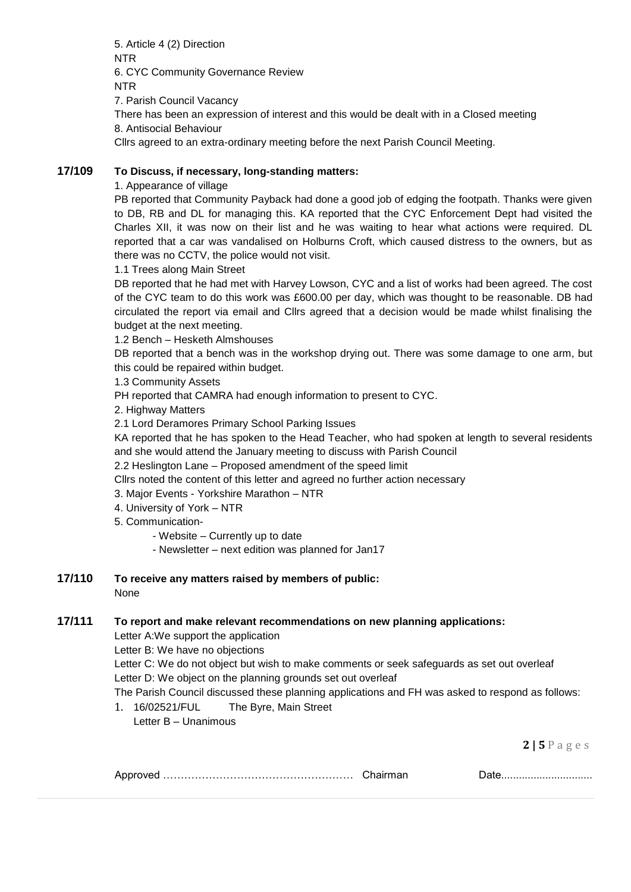5. Article 4 (2) Direction NTR 6. CYC Community Governance Review NTR 7. Parish Council Vacancy There has been an expression of interest and this would be dealt with in a Closed meeting 8. Antisocial Behaviour

Cllrs agreed to an extra-ordinary meeting before the next Parish Council Meeting.

## **17/109 To Discuss, if necessary, long-standing matters:**

1. Appearance of village

PB reported that Community Payback had done a good job of edging the footpath. Thanks were given to DB, RB and DL for managing this. KA reported that the CYC Enforcement Dept had visited the Charles XII, it was now on their list and he was waiting to hear what actions were required. DL reported that a car was vandalised on Holburns Croft, which caused distress to the owners, but as there was no CCTV, the police would not visit.

1.1 Trees along Main Street

DB reported that he had met with Harvey Lowson, CYC and a list of works had been agreed. The cost of the CYC team to do this work was £600.00 per day, which was thought to be reasonable. DB had circulated the report via email and Cllrs agreed that a decision would be made whilst finalising the budget at the next meeting.

1.2 Bench – Hesketh Almshouses

DB reported that a bench was in the workshop drying out. There was some damage to one arm, but this could be repaired within budget.

1.3 Community Assets

PH reported that CAMRA had enough information to present to CYC.

2. Highway Matters

2.1 Lord Deramores Primary School Parking Issues

KA reported that he has spoken to the Head Teacher, who had spoken at length to several residents and she would attend the January meeting to discuss with Parish Council

2.2 Heslington Lane – Proposed amendment of the speed limit

Cllrs noted the content of this letter and agreed no further action necessary

3. Major Events - Yorkshire Marathon – NTR

- 4. University of York NTR
- 5. Communication-
	- Website Currently up to date
	- Newsletter next edition was planned for Jan17
- **17/110 To receive any matters raised by members of public:** None

## **17/111 To report and make relevant recommendations on new planning applications:**

Letter A:We support the application

Letter B: We have no objections

Letter C: We do not object but wish to make comments or seek safeguards as set out overleaf Letter D: We object on the planning grounds set out overleaf

The Parish Council discussed these planning applications and FH was asked to respond as follows:

1. 16/02521/FUL The Byre, Main Street Letter B – Unanimous

**2 | 5** P a g e s

|--|--|--|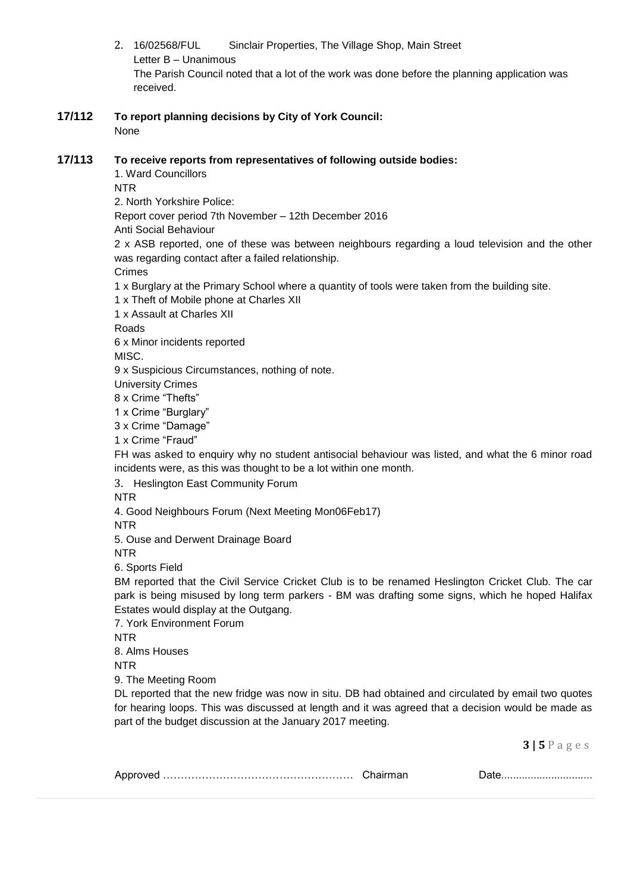- 2. 16/02568/FUL Sinclair Properties, The Village Shop, Main Street Letter B – Unanimous The Parish Council noted that a lot of the work was done before the planning application was received.
- **17/112 To report planning decisions by City of York Council:** None

## **17/113 To receive reports from representatives of following outside bodies:**

1. Ward Councillors

NTR

2. North Yorkshire Police:

Report cover period 7th November – 12th December 2016

Anti Social Behaviour

2 x ASB reported, one of these was between neighbours regarding a loud television and the other was regarding contact after a failed relationship.

Crimes

1 x Burglary at the Primary School where a quantity of tools were taken from the building site.

1 x Theft of Mobile phone at Charles XII

1 x Assault at Charles XII

Roads

6 x Minor incidents reported

MISC.

9 x Suspicious Circumstances, nothing of note.

University Crimes

8 x Crime "Thefts"

1 x Crime "Burglary"

3 x Crime "Damage"

1 x Crime "Fraud"

FH was asked to enquiry why no student antisocial behaviour was listed, and what the 6 minor road incidents were, as this was thought to be a lot within one month.

3. Heslington East Community Forum

NTR

4. Good Neighbours Forum (Next Meeting Mon06Feb17)

NTR

5. Ouse and Derwent Drainage Board

NTR

6. Sports Field

BM reported that the Civil Service Cricket Club is to be renamed Heslington Cricket Club. The car park is being misused by long term parkers - BM was drafting some signs, which he hoped Halifax Estates would display at the Outgang.

7. York Environment Forum

NTR

8. Alms Houses

NTR

9. The Meeting Room

DL reported that the new fridge was now in situ. DB had obtained and circulated by email two quotes for hearing loops. This was discussed at length and it was agreed that a decision would be made as part of the budget discussion at the January 2017 meeting.

**3 | 5** P a g e s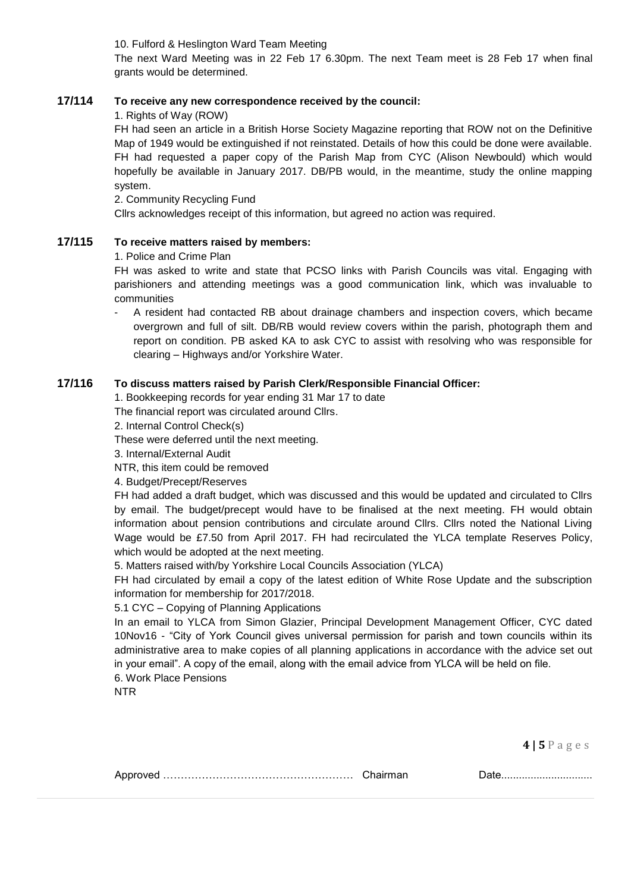10. Fulford & Heslington Ward Team Meeting

The next Ward Meeting was in 22 Feb 17 6.30pm. The next Team meet is 28 Feb 17 when final grants would be determined.

## **17/114 To receive any new correspondence received by the council:**

1. Rights of Way (ROW)

FH had seen an article in a British Horse Society Magazine reporting that ROW not on the Definitive Map of 1949 would be extinguished if not reinstated. Details of how this could be done were available. FH had requested a paper copy of the Parish Map from CYC (Alison Newbould) which would hopefully be available in January 2017. DB/PB would, in the meantime, study the online mapping system.

2. Community Recycling Fund

Cllrs acknowledges receipt of this information, but agreed no action was required.

### **17/115 To receive matters raised by members:**

1. Police and Crime Plan

FH was asked to write and state that PCSO links with Parish Councils was vital. Engaging with parishioners and attending meetings was a good communication link, which was invaluable to communities

- A resident had contacted RB about drainage chambers and inspection covers, which became overgrown and full of silt. DB/RB would review covers within the parish, photograph them and report on condition. PB asked KA to ask CYC to assist with resolving who was responsible for clearing – Highways and/or Yorkshire Water.

## **17/116 To discuss matters raised by Parish Clerk/Responsible Financial Officer:**

1. Bookkeeping records for year ending 31 Mar 17 to date

The financial report was circulated around Cllrs.

2. Internal Control Check(s)

These were deferred until the next meeting.

3. Internal/External Audit

NTR, this item could be removed

4. Budget/Precept/Reserves

FH had added a draft budget, which was discussed and this would be updated and circulated to Cllrs by email. The budget/precept would have to be finalised at the next meeting. FH would obtain information about pension contributions and circulate around Cllrs. Cllrs noted the National Living Wage would be £7.50 from April 2017. FH had recirculated the YLCA template Reserves Policy, which would be adopted at the next meeting.

5. Matters raised with/by Yorkshire Local Councils Association (YLCA)

FH had circulated by email a copy of the latest edition of White Rose Update and the subscription information for membership for 2017/2018.

5.1 CYC – Copying of Planning Applications

In an email to YLCA from Simon Glazier, Principal Development Management Officer, CYC dated 10Nov16 - "City of York Council gives universal permission for parish and town councils within its administrative area to make copies of all planning applications in accordance with the advice set out in your email". A copy of the email, along with the email advice from YLCA will be held on file.

6. Work Place Pensions

NTR

**4 | 5** P a g e s

| Chairman |
|----------|
|          |

Approved ……………………………………………… Chairman Date...............................